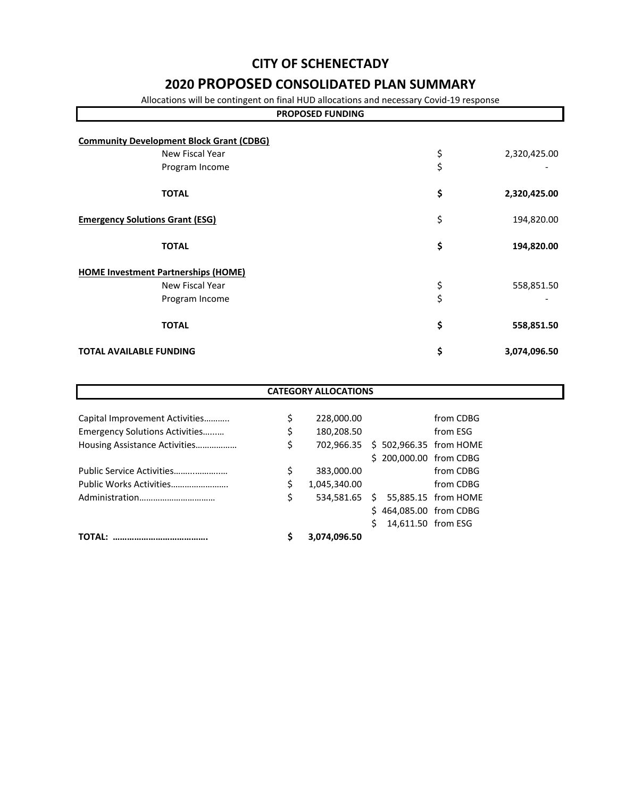# **CITY OF SCHENECTADY**

# **2020 PROPOSED CONSOLIDATED PLAN SUMMARY**

Allocations will be contingent on final HUD allocations and necessary Covid-19 response

| <b>PROPOSED FUNDING</b>                                            |          |              |  |  |  |
|--------------------------------------------------------------------|----------|--------------|--|--|--|
| <b>Community Development Block Grant (CDBG)</b><br>New Fiscal Year | \$       | 2,320,425.00 |  |  |  |
| Program Income                                                     | \$       |              |  |  |  |
| <b>TOTAL</b>                                                       | \$       | 2,320,425.00 |  |  |  |
| <b>Emergency Solutions Grant (ESG)</b>                             | \$       | 194,820.00   |  |  |  |
| <b>TOTAL</b>                                                       | \$       | 194,820.00   |  |  |  |
| <b>HOME Investment Partnerships (HOME)</b>                         |          |              |  |  |  |
| New Fiscal Year<br>Program Income                                  | \$<br>\$ | 558,851.50   |  |  |  |
| <b>TOTAL</b>                                                       | \$       | 558,851.50   |  |  |  |
| <b>TOTAL AVAILABLE FUNDING</b>                                     | \$       | 3,074,096.50 |  |  |  |

| <b>CATEGORY ALLOCATIONS</b>    |    |               |    |                        |                        |  |  |
|--------------------------------|----|---------------|----|------------------------|------------------------|--|--|
|                                |    |               |    |                        |                        |  |  |
| Capital Improvement Activities | \$ | 228,000.00    |    |                        | from CDBG              |  |  |
| Emergency Solutions Activities | \$ | 180,208.50    |    |                        | from ESG               |  |  |
| Housing Assistance Activities  | \$ | 702.966.35    |    |                        | \$502,966.35 from HOME |  |  |
|                                |    |               |    | \$200,000.00 from CDBG |                        |  |  |
| Public Service Activities      | \$ | 383,000.00    |    |                        | from CDBG              |  |  |
| Public Works Activities        | \$ | 1,045,340.00  |    |                        | from CDBG              |  |  |
|                                | \$ | 534,581.65 \$ |    |                        | 55,885.15 from HOME    |  |  |
|                                |    |               |    | \$464,085.00 from CDBG |                        |  |  |
|                                |    |               | Ŝ. | 14,611.50 from ESG     |                        |  |  |
| <b>TOTAL:</b>                  |    | 3,074,096.50  |    |                        |                        |  |  |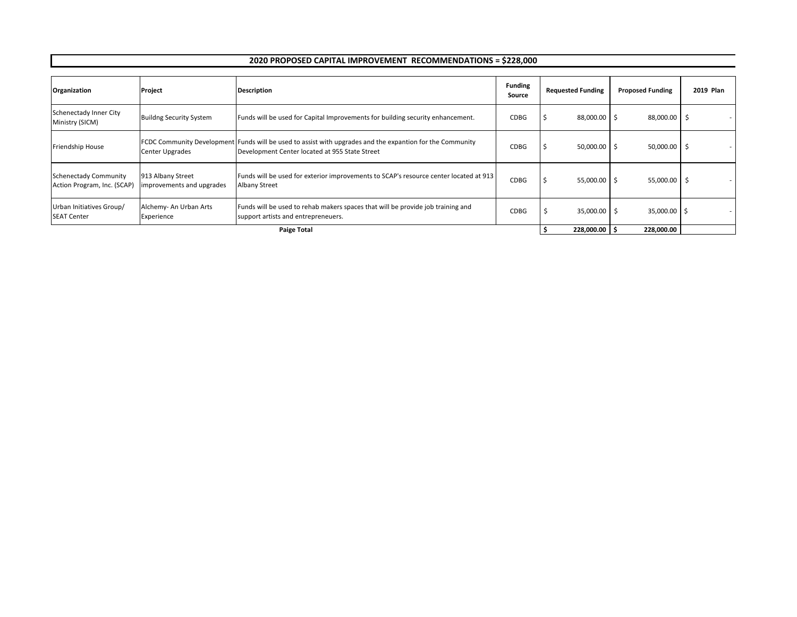### **2020 PROPOSED CAPITAL IMPROVEMENT RECOMMENDATIONS = \$228,000**

| Organization                                         | Project                                        | <b>Description</b>                                                                                                                                                 | <b>Funding</b><br>Source | <b>Requested Funding</b> | <b>Proposed Funding</b> | 2019 Plan |
|------------------------------------------------------|------------------------------------------------|--------------------------------------------------------------------------------------------------------------------------------------------------------------------|--------------------------|--------------------------|-------------------------|-----------|
| Schenectady Inner City<br>Ministry (SICM)            | <b>Buildng Security System</b>                 | Funds will be used for Capital Improvements for building security enhancement.                                                                                     | CDBG                     | 88,000.00 \$             | 88,000.00               |           |
| Friendship House                                     | Center Upgrades                                | <b>FCDC Community Development Funds will be used to assist with upgrades and the expantion for the Community</b><br>Development Center located at 955 State Street | CDBG                     | 50,000.00 \$             | 50,000.00               | -5        |
| Schenectady Community<br>Action Program, Inc. (SCAP) | 913 Albany Street<br>improvements and upgrades | Funds will be used for exterior improvements to SCAP's resource center located at 913<br>Albany Street                                                             | CDBG                     | $55,000.00$ \$           | 55,000.00               | - 5       |
| Urban Initiatives Group/<br><b>SEAT Center</b>       | Alchemy- An Urban Arts<br>Experience           | Funds will be used to rehab makers spaces that will be provide job training and<br>support artists and entrepreneuers.                                             | CDBG                     | 35,000.00 \$             | 35,000.00 \$            |           |
|                                                      | <b>Paige Total</b>                             |                                                                                                                                                                    |                          |                          |                         |           |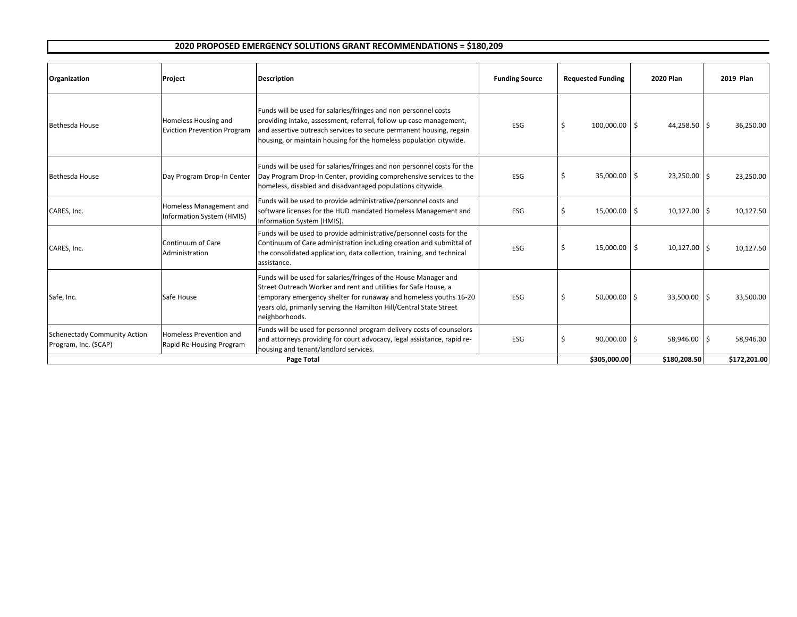### **2020 PROPOSED EMERGENCY SOLUTIONS GRANT RECOMMENDATIONS = \$180,209**

| Organization                                                | Project                                                    | <b>Description</b>                                                                                                                                                                                                                                                                                | <b>Funding Source</b> | <b>Requested Funding</b> | <b>2020 Plan</b> | 2019 Plan    |
|-------------------------------------------------------------|------------------------------------------------------------|---------------------------------------------------------------------------------------------------------------------------------------------------------------------------------------------------------------------------------------------------------------------------------------------------|-----------------------|--------------------------|------------------|--------------|
| Bethesda House                                              | Homeless Housing and<br><b>Eviction Prevention Program</b> | Funds will be used for salaries/fringes and non personnel costs<br>providing intake, assessment, referral, follow-up case management,<br>and assertive outreach services to secure permanent housing, regain<br>housing, or maintain housing for the homeless population citywide.                | <b>ESG</b>            | $100,000.00$ \$          | 44,258.50 \$     | 36,250.00    |
| Bethesda House                                              | Day Program Drop-In Center                                 | Funds will be used for salaries/fringes and non personnel costs for the<br>Day Program Drop-In Center, providing comprehensive services to the<br>homeless, disabled and disadvantaged populations citywide.                                                                                      | <b>ESG</b>            | 35,000.00 \$<br>S        | 23,250.00 \$     | 23,250.00    |
| CARES, Inc.                                                 | Homeless Management and<br>Information System (HMIS)       | Funds will be used to provide administrative/personnel costs and<br>software licenses for the HUD mandated Homeless Management and<br>Information System (HMIS).                                                                                                                                  | <b>ESG</b>            | 15,000.00 \$<br>Ŝ        | 10,127.00 \$     | 10,127.50    |
| CARES, Inc.                                                 | Continuum of Care<br>Administration                        | Funds will be used to provide administrative/personnel costs for the<br>Continuum of Care administration including creation and submittal of<br>the consolidated application, data collection, training, and technical<br>assistance.                                                             | ESG                   | 15,000.00 \$<br>\$.      | $10,127.00$ \$   | 10,127.50    |
| Safe, Inc.                                                  | Safe House                                                 | Funds will be used for salaries/fringes of the House Manager and<br>Street Outreach Worker and rent and utilities for Safe House, a<br>temporary emergency shelter for runaway and homeless youths 16-20<br>years old, primarily serving the Hamilton Hill/Central State Street<br>neighborhoods. | <b>ESG</b>            | $50,000.00$ \$<br>\$     | 33,500.00 \$     | 33,500.00    |
| <b>Schenectady Community Action</b><br>Program, Inc. (SCAP) | Homeless Prevention and<br>Rapid Re-Housing Program        | Funds will be used for personnel program delivery costs of counselors<br>and attorneys providing for court advocacy, legal assistance, rapid re-<br>housing and tenant/landlord services.                                                                                                         | <b>ESG</b>            | $90,000.00$ \$           | 58,946.00 \$     | 58,946.00    |
|                                                             |                                                            | Page Total                                                                                                                                                                                                                                                                                        |                       | \$305,000.00             | \$180,208.50     | \$172,201.00 |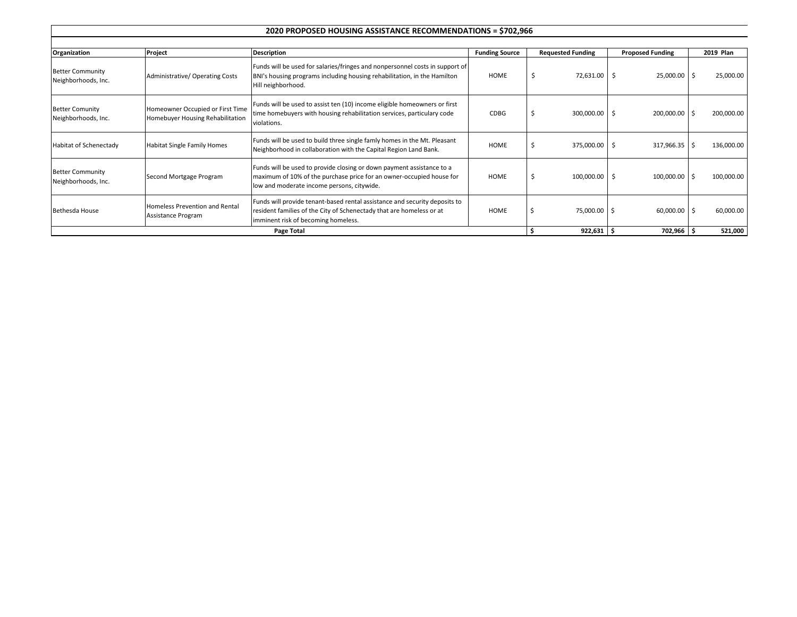#### **2020 PROPOSED HOUSING ASSISTANCE RECOMMENDATIONS = \$702,966**

| Organization                                   | Project                                                              | <b>Description</b>                                                                                                                                                                          | <b>Funding Source</b> | <b>Requested Funding</b> | <b>Proposed Funding</b> | 2019 Plan  |
|------------------------------------------------|----------------------------------------------------------------------|---------------------------------------------------------------------------------------------------------------------------------------------------------------------------------------------|-----------------------|--------------------------|-------------------------|------------|
| <b>Better Community</b><br>Neighborhoods, Inc. | Administrative/ Operating Costs                                      | Funds will be used for salaries/fringes and nonpersonnel costs in support of<br>BNI's housing programs including housing rehabilitation, in the Hamilton<br>Hill neighborhood.              | <b>HOME</b>           | Ŝ.<br>72,631.00 \$       | 25,000.00 \$            | 25,000.00  |
| <b>Better Comunity</b><br>Neighborhoods, Inc.  | Homeowner Occupied or First Time<br>Homebuyer Housing Rehabilitation | Funds will be used to assist ten (10) income eligible homeowners or first<br>time homebuyers with housing rehabilitation services, particulary code<br>violations.                          | CDBG                  | 300,000.00 \$<br>Ŝ       | 200,000.00 \$           | 200,000.00 |
| Habitat of Schenectady                         | Habitat Single Family Homes                                          | Funds will be used to build three single famly homes in the Mt. Pleasant<br>Neighborhood in collaboration with the Capital Region Land Bank.                                                | <b>HOME</b>           | 375,000.00               | $317,966.35$ \$<br>- S  | 136,000.00 |
| <b>Better Community</b><br>Neighborhoods, Inc. | Second Mortgage Program                                              | Funds will be used to provide closing or down payment assistance to a<br>maximum of 10% of the purchase price for an owner-occupied house for<br>low and moderate income persons, citywide. | <b>HOME</b>           | $100,000.00$ \$          | $100,000.00$ \$         | 100,000.00 |
| Bethesda House                                 | Homeless Prevention and Rental<br>Assistance Program                 | Funds will provide tenant-based rental assistance and security deposits to<br>resident families of the City of Schenectady that are homeless or at<br>imminent risk of becoming homeless.   | <b>HOME</b>           | 75,000.00 \$             | $60,000.00$ \$          | 60,000.00  |
|                                                |                                                                      | Page Total                                                                                                                                                                                  |                       | $922,631$ \$             | 702,966 \$              | 521,000    |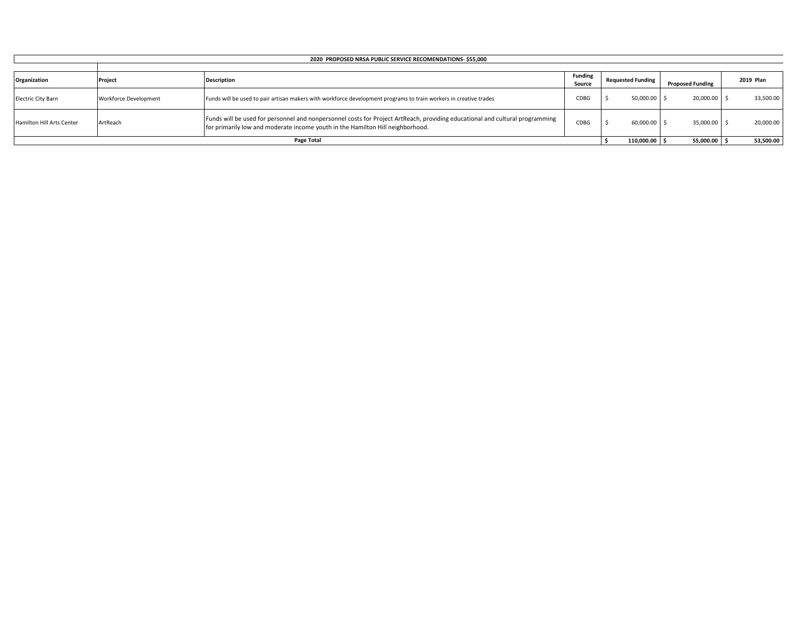| 2020 PROPOSED NRSA PUBLIC SERVICE RECOMENDATIONS-\$55,000 |                              |                                                                                                                                                                                                                |                          |                          |                         |           |  |  |
|-----------------------------------------------------------|------------------------------|----------------------------------------------------------------------------------------------------------------------------------------------------------------------------------------------------------------|--------------------------|--------------------------|-------------------------|-----------|--|--|
|                                                           |                              |                                                                                                                                                                                                                |                          |                          |                         |           |  |  |
| Organization                                              | Project                      | <b>Description</b>                                                                                                                                                                                             | <b>Funding</b><br>Source | <b>Requested Funding</b> | <b>Proposed Funding</b> | 2019 Plan |  |  |
| <b>Electric City Barn</b>                                 | <b>Workforce Development</b> | Funds will be used to pair artisan makers with workforce development programs to train workers in creative trades                                                                                              | CDBG                     | $50,000.00$ \$           | 20,000.00               | 33,500.00 |  |  |
| Hamilton Hill Arts Center                                 | ArtReach                     | Funds will be used for personnel and nonpersonnel costs for Project ArtReach, providing educational and cultural programming<br>for primarily low and moderate income youth in the Hamilton Hill neighborhood. | CDBG                     | 60,000.00 \$             | 35,000.00 \$            | 20,000.00 |  |  |
|                                                           |                              | Page Total                                                                                                                                                                                                     |                          | 110,000.00 \$            | 55,000.00 \$            | 53,500.00 |  |  |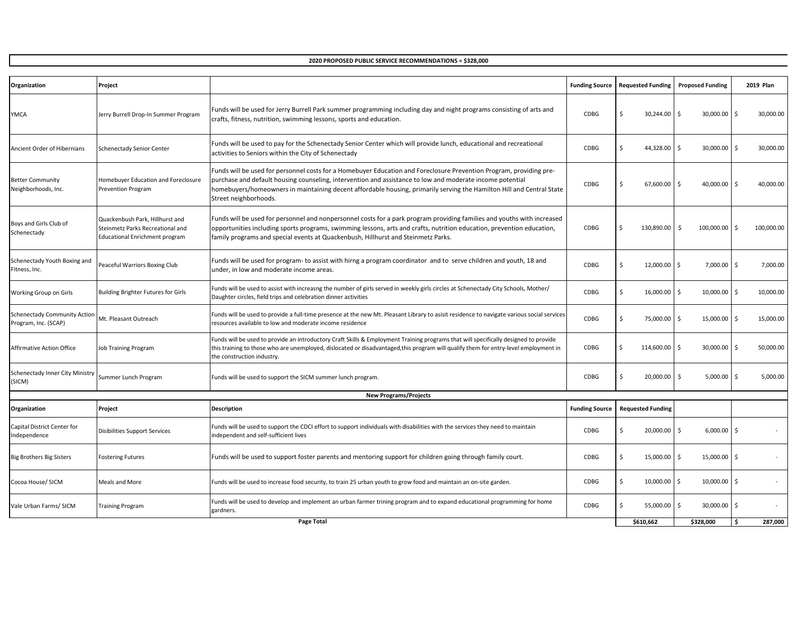**2020 PROPOSED PUBLIC SERVICE RECOMMENDATIONS = \$328,000**

| Organization                                                | Project                                                                                                      |                                                                                                                                                                                                                                                                                                                                                                                    | <b>Funding Source</b> | <b>Requested Funding</b> | <b>Proposed Funding</b> | <b>2019 Plan</b> |
|-------------------------------------------------------------|--------------------------------------------------------------------------------------------------------------|------------------------------------------------------------------------------------------------------------------------------------------------------------------------------------------------------------------------------------------------------------------------------------------------------------------------------------------------------------------------------------|-----------------------|--------------------------|-------------------------|------------------|
|                                                             |                                                                                                              |                                                                                                                                                                                                                                                                                                                                                                                    |                       |                          |                         |                  |
| <b>YMCA</b>                                                 | Jerry Burrell Drop-In Summer Program                                                                         | Funds will be used for Jerry Burrell Park summer programming including day and night programs consisting of arts and<br>crafts, fitness, nutrition, swimming lessons, sports and education.                                                                                                                                                                                        | <b>CDBG</b>           | Ś.<br>30,244.00          | l \$<br>30,000.00       | 30,000.00        |
| Ancient Order of Hibernians                                 | <b>Schenectady Senior Center</b>                                                                             | Funds will be used to pay for the Schenectady Senior Center which will provide lunch, educational and recreational<br>activities to Seniors within the City of Schenectady                                                                                                                                                                                                         | CDBG                  | Ś<br>44,328.00           | l s<br>30,000.00        | 30,000.00        |
| <b>Better Community</b><br>Neighborhoods, Inc.              | Homebuyer Education and Foreclosure<br><b>Prevention Program</b>                                             | Funds will be used for personnel costs for a Homebuyer Education and Foreclosure Prevention Program, providing pre-<br>purchase and default housing counseling, intervention and assistance to low and moderate income potential<br>homebuyers/homeowners in maintaining decent affordable housing, primarily serving the Hamilton Hill and Central State<br>Street neighborhoods. | CDBG                  | Ś<br>67,600.00           | l s<br>40,000.00        | 40,000.00        |
| Boys and Girls Club of<br>Schenectady                       | Quackenbush Park, Hillhurst and<br>Steinmetz Parks Recreational and<br><b>Educational Enrichment program</b> | Funds will be used for personnel and nonpersonnel costs for a park program providing families and youths with increased<br>opportunities including sports programs, swimming lessons, arts and crafts, nutrition education, prevention education,<br>family programs and special events at Quackenbush, Hillhurst and Steinmetz Parks.                                             | <b>CDBG</b>           | Ś<br>130,890.00          | 100,000.00<br>-S        | 100,000.00<br>-Ś |
| Schenectady Youth Boxing and<br>Fitness, Inc.               | Peaceful Warriors Boxing Club                                                                                | Funds will be used for program- to assist with hirng a program coordinator and to serve children and youth, 18 and<br>under, in low and moderate income areas.                                                                                                                                                                                                                     | CDBG                  | \$<br>12,000.00          | 7,000.00<br>l \$        | 7,000.00<br>-Ś   |
| Working Group on Girls                                      | Building Brighter Futures for Girls                                                                          | Funds will be used to assist with increasng the number of girls served in weekly girls circles at Schenectady City Schools, Mother/<br>Daughter circles, field trips and celebration dinner activities                                                                                                                                                                             | <b>CDBG</b>           | Ś<br>16,000.00           | 10,000.00<br>l s        | 10,000.00        |
| <b>Schenectady Community Action</b><br>Program, Inc. (SCAP) | Mt. Pleasant Outreach                                                                                        | Funds will be used to provide a full-time presence at the new Mt. Pleasant Library to asisit residence to navigate various social services<br>resources available to low and moderate income residence                                                                                                                                                                             | <b>CDBG</b>           | Ś.<br>75,000.00          | l \$<br>15,000.00 \$    | 15,000.00        |
| <b>Affirmative Action Office</b>                            | <b>Job Training Program</b>                                                                                  | Funds will be used to provide an introductory Craft Skills & Employment Training programs that will specifically designed to provide<br>this training to those who are unemployed, dislocated or disadvantaged, this program will qualify them for entry-level employment in<br>the construction industry.                                                                         | CDBG                  | Ś<br>114,600.00          | 30,000.00<br>l \$       | 50,000.00        |
| Schenectady Inner City Ministry<br>(SICM)                   | Summer Lunch Program                                                                                         | Funds will be used to support the SICM summer lunch program.                                                                                                                                                                                                                                                                                                                       | <b>CDBG</b>           | Ś<br>20,000.00           | 5,000.00<br>۱s.         | 5,000.00         |
|                                                             |                                                                                                              | <b>New Programs/Projects</b>                                                                                                                                                                                                                                                                                                                                                       |                       |                          |                         |                  |
| Organization                                                | Project                                                                                                      | Description                                                                                                                                                                                                                                                                                                                                                                        | <b>Funding Source</b> | <b>Requested Funding</b> |                         |                  |
| Capital District Center for<br>Independence                 | Disibilities Support Services                                                                                | Funds will be used to support the CDCI effort to support individuals with disabilities with the services they need to maintain<br>independent and self-sufficient lives                                                                                                                                                                                                            | <b>CDBG</b>           | Ś<br>$20,000.00$ \$      | $6,000.00$ \$           |                  |
| <b>Big Brothers Big Sisters</b>                             | <b>Fostering Futures</b>                                                                                     | Funds will be used to support foster parents and mentoring support for children going through family court.                                                                                                                                                                                                                                                                        | <b>CDBG</b>           | Ś<br>15,000.00           | 15,000.00<br>I\$        | -Ś               |
| Cocoa House/ SICM                                           | Meals and More                                                                                               | Funds will be used to increase food security, to train 25 urban youth to grow food and maintain an on-site garden.                                                                                                                                                                                                                                                                 | CDBG                  | Ś<br>10,000.00 \$        | 10,000.00 \$            |                  |
| Vale Urban Farms/ SICM                                      | <b>Training Program</b>                                                                                      | Funds will be used to develop and implement an urban farmer trining program and to expand educational programming for home<br>gardners.                                                                                                                                                                                                                                            | CDBG                  | Ś<br>55,000.00           | l s<br>30,000.00 \$     |                  |
|                                                             |                                                                                                              | Page Total                                                                                                                                                                                                                                                                                                                                                                         |                       | \$610.662                | \$328,000               | 287,000          |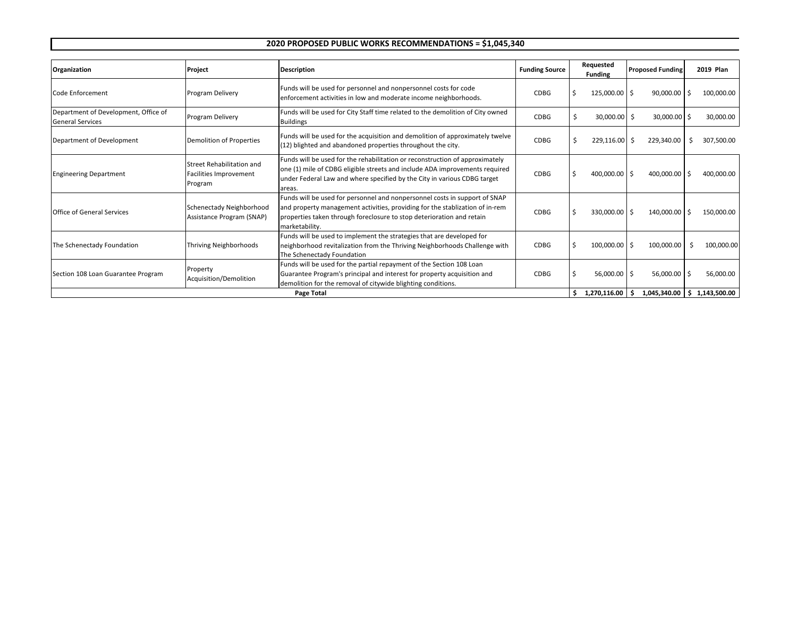### **2020 PROPOSED PUBLIC WORKS RECOMMENDATIONS = \$1,045,340**

| Organization                                                    | Project                                                               | <b>Description</b>                                                                                                                                                                                                                                    | <b>Funding Source</b> |  |                              |                           | Requested<br><b>Funding</b> | <b>Proposed Funding</b>     |  | 2019 Plan |
|-----------------------------------------------------------------|-----------------------------------------------------------------------|-------------------------------------------------------------------------------------------------------------------------------------------------------------------------------------------------------------------------------------------------------|-----------------------|--|------------------------------|---------------------------|-----------------------------|-----------------------------|--|-----------|
| Code Enforcement                                                | Program Delivery                                                      | Funds will be used for personnel and nonpersonnel costs for code<br>enforcement activities in low and moderate income neighborhoods.                                                                                                                  | CDBG                  |  | 125,000.00 \$                | 90,000.00                 | ۱Ś                          | 100,000.00                  |  |           |
| Department of Development, Office of<br><b>General Services</b> | Program Delivery                                                      | Funds will be used for City Staff time related to the demolition of City owned<br><b>Buildings</b>                                                                                                                                                    | CDBG                  |  | $30,000.00$ \$               | 30,000.00                 | -Ś                          | 30,000.00                   |  |           |
| Department of Development                                       | Demolition of Properties                                              | Funds will be used for the acquisition and demolition of approximately twelve<br>(12) blighted and abandoned properties throughout the city.                                                                                                          | CDBG                  |  | $229,116.00$ \$              | 229,340.00                | -S                          | 307,500.00                  |  |           |
| <b>Engineering Department</b>                                   | Street Rehabilitation and<br><b>Facilities Improvement</b><br>Program | Funds will be used for the rehabilitation or reconstruction of approximately<br>one (1) mile of CDBG eligible streets and include ADA improvements required<br>under Federal Law and where specified by the City in various CDBG target<br>areas.     | CDBG                  |  | 400,000.00 \$                | 400,000.00                | l \$                        | 400,000.00                  |  |           |
| <b>Office of General Services</b>                               | Schenectady Neighborhood<br>Assistance Program (SNAP)                 | Funds will be used for personnel and nonpersonnel costs in support of SNAP<br>and property management activities, providing for the stablization of in-rem<br>properties taken through foreclosure to stop deterioration and retain<br>marketability. | CDBG                  |  | 330,000.00 \$                | 140,000.00 \$             |                             | 150,000.00                  |  |           |
| The Schenectady Foundation                                      | Thriving Neighborhoods                                                | Funds will be used to implement the strategies that are developed for<br>neighborhood revitalization from the Thriving Neighborhoods Challenge with<br>The Schenectady Foundation                                                                     | CDBG                  |  | 100,000.00 \$                | 100,000.00                | -Ś                          | 100,000.00                  |  |           |
| Section 108 Loan Guarantee Program                              | Property<br>Acquisition/Demolition                                    | Funds will be used for the partial repayment of the Section 108 Loan<br>Guarantee Program's principal and interest for property acquisition and<br>demolition for the removal of citywide blighting conditions.<br>Page Total                         | CDBG                  |  | 56,000.00 \$<br>1,270,116.00 | 56,000.00<br>1,045,340.00 | -Ś                          | 56,000.00<br>\$1,143,500.00 |  |           |